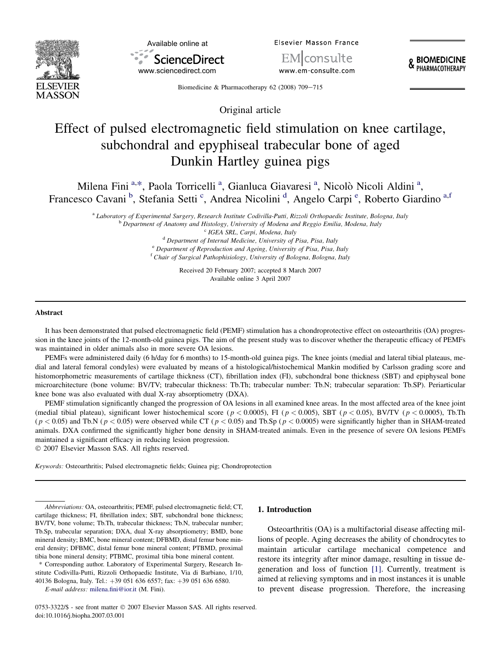



**Elsevier Masson France** 

lconsulte www.em-consulte.com **& BIOMEDICINE**<br>**& PHARMACOTHERAPY** 

Biomedicine & Pharmacotherapy 62 (2008) 709-715

Original article

# Effect of pulsed electromagnetic field stimulation on knee cartilage, subchondral and epyphiseal trabecular bone of aged Dunkin Hartley guinea pigs

Milena Fini<sup>a,\*</sup>, Paola Torricelli<sup>a</sup>, Gianluca Giavaresi<sup>a</sup>, Nicolò Nicoli Aldini<sup>a</sup>, Francesco Cavani<sup>b</sup>, Stefania Setti<sup>c</sup>, Andrea Nicolini<sup>d</sup>, Angelo Carpi<sup>e</sup>, Roberto Giardino<sup>a,f</sup>

*a Laboratory of Experimental Surgery, Research Institute Codivilla-Putti, Rizzoli Orthopaedic Institute, Bologna, Italy*<br><sup>b</sup> Department of Anatomy and Histology, University of Modena and Reggio Emilia, Modena, Italy<br><sup>c</sup>

Received 20 February 2007; accepted 8 March 2007 Available online 3 April 2007

#### Abstract

It has been demonstrated that pulsed electromagnetic field (PEMF) stimulation has a chondroprotective effect on osteoarthritis (OA) progression in the knee joints of the 12-month-old guinea pigs. The aim of the present study was to discover whether the therapeutic efficacy of PEMFs was maintained in older animals also in more severe OA lesions.

PEMFs were administered daily (6 h/day for 6 months) to 15-month-old guinea pigs. The knee joints (medial and lateral tibial plateaus, medial and lateral femoral condyles) were evaluated by means of a histological/histochemical Mankin modified by Carlsson grading score and histomorphometric measurements of cartilage thickness (CT), fibrillation index (FI), subchondral bone thickness (SBT) and epiphyseal bone microarchitecture (bone volume: BV/TV; trabecular thickness: Tb.Th; trabecular number: Tb.N; trabecular separation: Tb.SP). Periarticular knee bone was also evaluated with dual X-ray absorptiometry (DXA).

PEMF stimulation significantly changed the progression of OA lesions in all examined knee areas. In the most affected area of the knee joint (medial tibial plateau), significant lower histochemical score ( $p < 0.0005$ ), FI ( $p < 0.005$ ), SBT ( $p < 0.05$ ), BV/TV ( $p < 0.0005$ ), Tb.Th  $(p < 0.05)$  and Tb.N ( $p < 0.05$ ) were observed while CT ( $p < 0.05$ ) and Tb.Sp ( $p < 0.0005$ ) were significantly higher than in SHAM-treated animals. DXA confirmed the significantly higher bone density in SHAM-treated animals. Even in the presence of severe OA lesions PEMFs maintained a significant efficacy in reducing lesion progression. - 2007 Elsevier Masson SAS. All rights reserved.

Keywords: Osteoarthritis; Pulsed electromagnetic fields; Guinea pig; Chondroprotection

## 1. Introduction

Osteoarthritis (OA) is a multifactorial disease affecting millions of people. Aging decreases the ability of chondrocytes to maintain articular cartilage mechanical competence and restore its integrity after minor damage, resulting in tissue degeneration and loss of function [\[1\].](#page-5-0) Currently, treatment is aimed at relieving symptoms and in most instances it is unable to prevent disease progression. Therefore, the increasing

Abbreviations: OA, osteoarthritis; PEMF, pulsed electromagnetic field; CT, cartilage thickness; FI, fibrillation index; SBT, subchondral bone thickness; BV/TV, bone volume; Tb.Th, trabecular thickness; Tb.N, trabecular number; Tb.Sp, trabecular separation; DXA, dual X-ray absorptiometry; BMD, bone mineral density; BMC, bone mineral content; DFBMD, distal femur bone mineral density; DFBMC, distal femur bone mineral content; PTBMD, proximal tibia bone mineral density; PTBMC, proximal tibia bone mineral content.

<sup>\*</sup> Corresponding author. Laboratory of Experimental Surgery, Research Institute Codivilla-Putti, Rizzoli Orthopaedic Institute, Via di Barbiano, 1/10, 40136 Bologna, Italy. Tel.: +39 051 636 6557; fax: +39 051 636 6580.

E-mail address: [milena.fini@ior.it](mailto:milena.fini@ior.it) (M. Fini).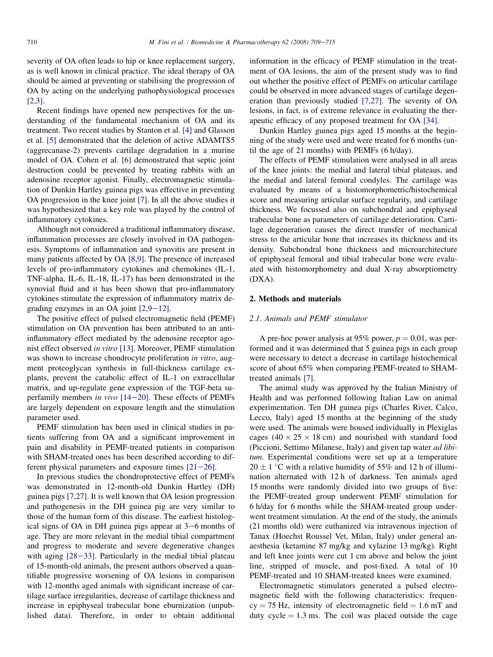severity of OA often leads to hip or knee replacement surgery, as is well known in clinical practice. The ideal therapy of OA should be aimed at preventing or stabilising the progression of OA by acting on the underlying pathophysiological processes [\[2,3\].](#page-5-0)

Recent findings have opened new perspectives for the understanding of the fundamental mechanism of OA and its treatment. Two recent studies by Stanton et al. [\[4\]](#page-5-0) and Glasson et al. [\[5\]](#page-5-0) demonstrated that the deletion of active ADAMTS5 (aggrecanase-2) prevents cartilage degradation in a murine model of OA. Cohen et al. [\[6\]](#page-5-0) demonstrated that septic joint destruction could be prevented by treating rabbits with an adenosine receptor agonist. Finally, electromagnetic stimulation of Dunkin Hartley guinea pigs was effective in preventing OA progression in the knee joint [\[7\].](#page-5-0) In all the above studies it was hypothesized that a key role was played by the control of inflammatory cytokines.

Although not considered a traditional inflammatory disease, inflammation processes are closely involved in OA pathogenesis. Symptoms of inflammation and synovitis are present in many patients affected by OA [\[8,9\]](#page-5-0). The presence of increased levels of pro-inflammatory cytokines and chemokines (IL-1, TNF-alpha, IL-6, IL-18, IL-17) has been demonstrated in the synovial fluid and it has been shown that pro-inflammatory cytokines stimulate the expression of inflammatory matrix degrading enzymes in an OA joint  $[2,9-12]$  $[2,9-12]$ .

The positive effect of pulsed electromagnetic field (PEMF) stimulation on OA prevention has been attributed to an antiinflammatory effect mediated by the adenosine receptor agonist effect observed in vitro [\[13\]](#page-5-0). Moreover, PEMF stimulation was shown to increase chondrocyte proliferation in vitro, augment proteoglycan synthesis in full-thickness cartilage explants, prevent the catabolic effect of IL-1 on extracellular matrix, and up-regulate gene expression of the TGF-beta superfamily members in vivo  $[14-20]$  $[14-20]$ . These effects of PEMFs are largely dependent on exposure length and the stimulation parameter used.

PEMF stimulation has been used in clinical studies in patients suffering from OA and a significant improvement in pain and disability in PEMF-treated patients in comparison with SHAM-treated ones has been described according to different physical parameters and exposure times  $[21-26]$  $[21-26]$ .

In previous studies the chondroprotective effect of PEMFs was demonstrated in 12-month-old Dunkin Hartley (DH) guinea pigs [\[7,27\]](#page-5-0). It is well known that OA lesion progression and pathogenesis in the DH guinea pig are very similar to those of the human form of this disease. The earliest histological signs of OA in DH guinea pigs appear at  $3-6$  months of age. They are more relevant in the medial tibial compartment and progress to moderate and severe degenerative changes with aging  $[28-33]$  $[28-33]$ . Particularly in the medial tibial plateau of 15-month-old animals, the present authors observed a quantifiable progressive worsening of OA lesions in comparison with 12-months aged animals with significant increase of cartilage surface irregularities, decrease of cartilage thickness and increase in epiphyseal trabecular bone eburnization (unpublished data). Therefore, in order to obtain additional

information in the efficacy of PEMF stimulation in the treatment of OA lesions, the aim of the present study was to find out whether the positive effect of PEMFs on articular cartilage could be observed in more advanced stages of cartilage degeneration than previously studied [\[7,27\]](#page-5-0). The severity of OA lesions, in fact, is of extreme relevance in evaluating the therapeutic efficacy of any proposed treatment for OA [\[34\]](#page-6-0).

Dunkin Hartley guinea pigs aged 15 months at the beginning of the study were used and were treated for 6 months (until the age of 21 months) with PEMFs (6 h/day).

The effects of PEMF stimulation were analysed in all areas of the knee joints: the medial and lateral tibial plateaus, and the medial and lateral femoral condyles. The cartilage was evaluated by means of a histomorphometric/histochemical score and measuring articular surface regularity, and cartilage thickness. We focussed also on subchondral and epiphyseal trabecular bone as parameters of cartilage deterioration. Cartilage degeneration causes the direct transfer of mechanical stress to the articular bone that increases its thickness and its density. Subchondral bone thickness and microarchitecture of epiphyseal femoral and tibial trabecular bone were evaluated with histomorphometry and dual X-ray absorptiometry (DXA).

# 2. Methods and materials

## 2.1. Animals and PEMF stimulator

A pre-hoc power analysis at 95% power,  $p = 0.01$ , was performed and it was determined that 5 guinea pigs in each group were necessary to detect a decrease in cartilage histochemical score of about 65% when comparing PEMF-treated to SHAMtreated animals [\[7\].](#page-5-0)

The animal study was approved by the Italian Ministry of Health and was performed following Italian Law on animal experimentation. Ten DH guinea pigs (Charles River, Calco, Lecco, Italy) aged 15 months at the beginning of the study were used. The animals were housed individually in Plexiglas cages  $(40 \times 25 \times 18$  cm) and nourished with standard food (Piccioni, Settimo Milanese, Italy) and given tap water *ad libi*tum. Experimental conditions were set up at a temperature  $20 \pm 1$  °C with a relative humidity of 55% and 12 h of illumination alternated with 12 h of darkness. Ten animals aged 15 months were randomly divided into two groups of five: the PEMF-treated group underwent PEMF stimulation for 6 h/day for 6 months while the SHAM-treated group underwent treatment simulation. At the end of the study, the animals (21 months old) were euthanized via intravenous injection of Tanax (Hoechst Roussel Vet, Milan, Italy) under general anaesthesia (ketamine 87 mg/kg and xylazine 13 mg/kg). Right and left knee joints were cut 1 cm above and below the joint line, stripped of muscle, and post-fixed. A total of 10 PEMF-treated and 10 SHAM-treated knees were examined.

Electromagnetic stimulators generated a pulsed electromagnetic field with the following characteristics: frequen $cy = 75$  Hz, intensity of electromagnetic field  $= 1.6$  mT and duty  $cycle = 1.3$  ms. The coil was placed outside the cage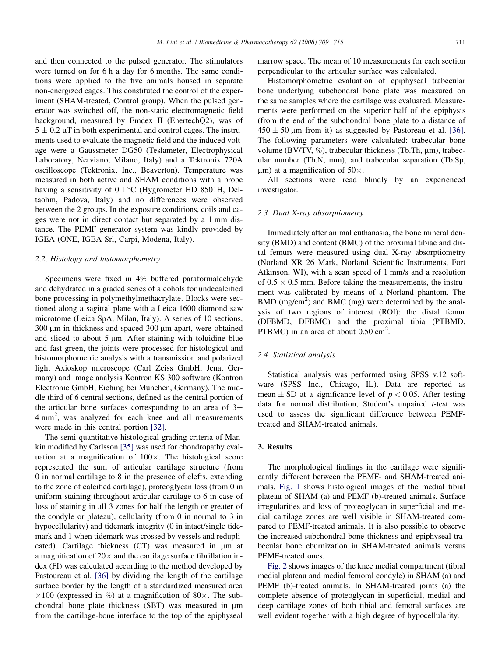and then connected to the pulsed generator. The stimulators were turned on for 6 h a day for 6 months. The same conditions were applied to the five animals housed in separate non-energized cages. This constituted the control of the experiment (SHAM-treated, Control group). When the pulsed generator was switched off, the non-static electromagnetic field background, measured by Emdex II (EnertechQ2), was of  $5 \pm 0.2 \mu$ T in both experimental and control cages. The instruments used to evaluate the magnetic field and the induced voltage were a Gaussmeter DG50 (Teslameter, Electrophysical Laboratory, Nerviano, Milano, Italy) and a Tektronix 720A oscilloscope (Tektronix, Inc., Beaverton). Temperature was measured in both active and SHAM conditions with a probe having a sensitivity of  $0.1 \degree C$  (Hygrometer HD 8501H, Deltaohm, Padova, Italy) and no differences were observed between the 2 groups. In the exposure conditions, coils and cages were not in direct contact but separated by a 1 mm distance. The PEMF generator system was kindly provided by IGEA (ONE, IGEA Srl, Carpi, Modena, Italy).

#### 2.2. Histology and histomorphometry

Specimens were fixed in 4% buffered paraformaldehyde and dehydrated in a graded series of alcohols for undecalcified bone processing in polymethylmethacrylate. Blocks were sectioned along a sagittal plane with a Leica 1600 diamond saw microtome (Leica SpA, Milan, Italy). A series of 10 sections,  $300 \mu m$  in thickness and spaced  $300 \mu m$  apart, were obtained and sliced to about  $5 \mu m$ . After staining with toluidine blue and fast green, the joints were processed for histological and histomorphometric analysis with a transmission and polarized light Axioskop microscope (Carl Zeiss GmbH, Jena, Germany) and image analysis Kontron KS 300 software (Kontron Electronic GmbH, Eiching bei Munchen, Germany). The middle third of 6 central sections, defined as the central portion of the articular bone surfaces corresponding to an area of  $3-$ 4 mm<sup>2</sup>, was analyzed for each knee and all measurements were made in this central portion [\[32\].](#page-6-0)

The semi-quantitative histological grading criteria of Mankin modified by Carlsson [\[35\]](#page-6-0) was used for chondropathy evaluation at a magnification of  $100\times$ . The histological score represented the sum of articular cartilage structure (from 0 in normal cartilage to 8 in the presence of clefts, extending to the zone of calcified cartilage), proteoglycan loss (from 0 in uniform staining throughout articular cartilage to 6 in case of loss of staining in all 3 zones for half the length or greater of the condyle or plateau), cellularity (from 0 in normal to 3 in hypocellularity) and tidemark integrity (0 in intact/single tidemark and 1 when tidemark was crossed by vessels and reduplicated). Cartilage thickness  $(CT)$  was measured in  $\mu$ m at a magnification of  $20\times$  and the cartilage surface fibrillation index (FI) was calculated according to the method developed by Pastoureau et al. [\[36\]](#page-6-0) by dividing the length of the cartilage surface border by the length of a standardized measured area  $\times 100$  (expressed in %) at a magnification of 80 $\times$ . The subchondral bone plate thickness (SBT) was measured in  $\mu$ m from the cartilage-bone interface to the top of the epiphyseal marrow space. The mean of 10 measurements for each section perpendicular to the articular surface was calculated.

Histomorphometric evaluation of epiphyseal trabecular bone underlying subchondral bone plate was measured on the same samples where the cartilage was evaluated. Measurements were performed on the superior half of the epiphysis (from the end of the subchondral bone plate to a distance of  $450 \pm 50$  µm from it) as suggested by Pastoreau et al. [\[36\]](#page-6-0). The following parameters were calculated: trabecular bone volume (BV/TV,  $\%$ ), trabecular thickness (Tb.Th,  $\mu$ m), trabecular number (Tb.N, mm), and trabecular separation (Tb.Sp,  $\mu$ m) at a magnification of 50 $\times$ .

All sections were read blindly by an experienced investigator.

## 2.3. Dual X-ray absorptiometry

Immediately after animal euthanasia, the bone mineral density (BMD) and content (BMC) of the proximal tibiae and distal femurs were measured using dual X-ray absorptiometry (Norland XR 26 Mark, Norland Scientific Instruments, Fort Atkinson, WI), with a scan speed of 1 mm/s and a resolution of  $0.5 \times 0.5$  mm. Before taking the measurements, the instrument was calibrated by means of a Norland phantom. The BMD (mg/cm<sup>2</sup>) and BMC (mg) were determined by the analysis of two regions of interest (ROI): the distal femur (DFBMD, DFBMC) and the proximal tibia (PTBMD, PTBMC) in an area of about  $0.50 \text{ cm}^2$ .

# 2.4. Statistical analysis

Statistical analysis was performed using SPSS v.12 software (SPSS Inc., Chicago, IL). Data are reported as mean  $\pm$  SD at a significance level of  $p < 0.05$ . After testing data for normal distribution, Student's unpaired t-test was used to assess the significant difference between PEMFtreated and SHAM-treated animals.

## 3. Results

The morphological findings in the cartilage were significantly different between the PEMF- and SHAM-treated animals. [Fig. 1](#page-3-0) shows histological images of the medial tibial plateau of SHAM (a) and PEMF (b)-treated animals. Surface irregularities and loss of proteoglycan in superficial and medial cartilage zones are well visible in SHAM-treated compared to PEMF-treated animals. It is also possible to observe the increased subchondral bone thickness and epiphyseal trabecular bone eburnization in SHAM-treated animals versus PEMF-treated ones.

[Fig. 2](#page-3-0) shows images of the knee medial compartment (tibial medial plateau and medial femoral condyle) in SHAM (a) and PEMF (b)-treated animals. In SHAM-treated joints (a) the complete absence of proteoglycan in superficial, medial and deep cartilage zones of both tibial and femoral surfaces are well evident together with a high degree of hypocellularity.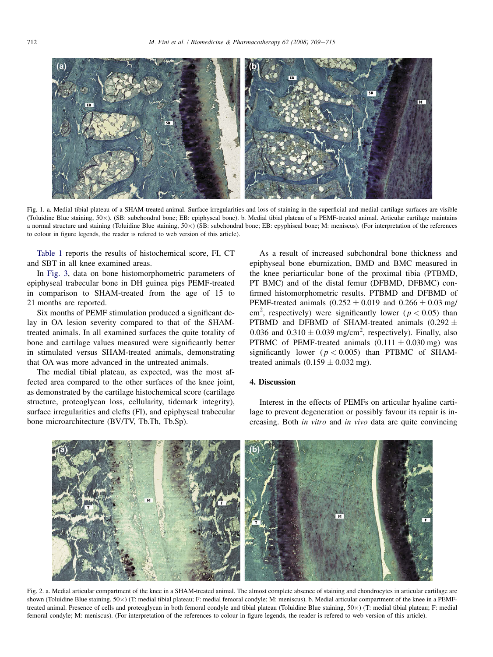<span id="page-3-0"></span>

Fig. 1. a. Medial tibial plateau of a SHAM-treated animal. Surface irregularities and loss of staining in the superficial and medial cartilage surfaces are visible (Toluidine Blue staining, 50x). (SB: subchondral bone; EB: epiphyseal bone). b. Medial tibial plateau of a PEMF-treated animal. Articular cartilage maintains a normal structure and staining (Toluidine Blue staining, 50×) (SB: subchondral bone; EB: epyphiseal bone; M: meniscus). (For interpretation of the references to colour in figure legends, the reader is refered to web version of this article).

[Table 1](#page-4-0) reports the results of histochemical score, FI, CT and SBT in all knee examined areas.

In [Fig. 3,](#page-4-0) data on bone histomorphometric parameters of epiphyseal trabecular bone in DH guinea pigs PEMF-treated in comparison to SHAM-treated from the age of 15 to 21 months are reported.

Six months of PEMF stimulation produced a significant delay in OA lesion severity compared to that of the SHAMtreated animals. In all examined surfaces the quite totality of bone and cartilage values measured were significantly better in stimulated versus SHAM-treated animals, demonstrating that OA was more advanced in the untreated animals.

The medial tibial plateau, as expected, was the most affected area compared to the other surfaces of the knee joint, as demonstrated by the cartilage histochemical score (cartilage structure, proteoglycan loss, cellularity, tidemark integrity), surface irregularities and clefts (FI), and epiphyseal trabecular bone microarchitecture (BV/TV, Tb.Th, Tb.Sp).

As a result of increased subchondral bone thickness and epiphyseal bone eburnization, BMD and BMC measured in the knee periarticular bone of the proximal tibia (PTBMD, PT BMC) and of the distal femur (DFBMD, DFBMC) confirmed histomorphometric results. PTBMD and DFBMD of PEMF-treated animals  $(0.252 \pm 0.019)$  and  $(0.266 \pm 0.03)$  mg/ cm<sup>2</sup>, respectively) were significantly lower ( $p < 0.05$ ) than PTBMD and DFBMD of SHAM-treated animals (0.292  $\pm$ 0.036 and  $0.310 \pm 0.039$  mg/cm<sup>2</sup>, respectively). Finally, also PTBMC of PEMF-treated animals  $(0.111 \pm 0.030 \text{ mg})$  was significantly lower ( $p < 0.005$ ) than PTBMC of SHAMtreated animals  $(0.159 \pm 0.032$  mg).

#### 4. Discussion

Interest in the effects of PEMFs on articular hyaline cartilage to prevent degeneration or possibly favour its repair is increasing. Both in vitro and in vivo data are quite convincing



Fig. 2. a. Medial articular compartment of the knee in a SHAM-treated animal. The almost complete absence of staining and chondrocytes in articular cartilage are shown (Toluidine Blue staining, 50×) (T: medial tibial plateau; F: medial femoral condyle; M: meniscus). b. Medial articular compartment of the knee in a PEMFtreated animal. Presence of cells and proteoglycan in both femoral condyle and tibial plateau (Toluidine Blue staining, 50×) (T: medial tibial plateau; F: medial femoral condyle; M: meniscus). (For interpretation of the references to colour in figure legends, the reader is refered to web version of this article).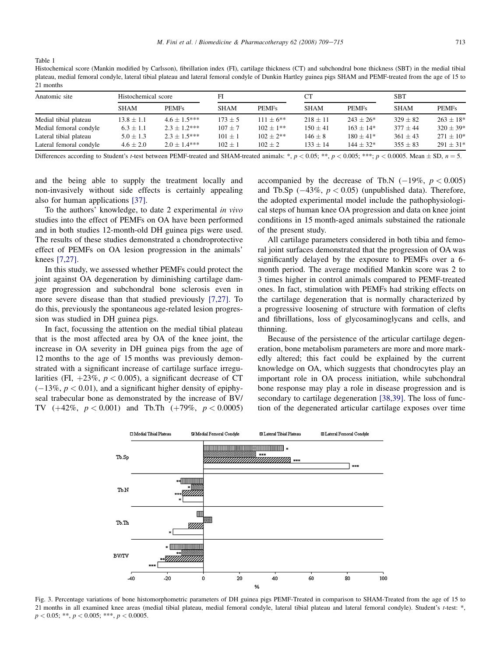<span id="page-4-0"></span>Table 1

Histochemical score (Mankin modified by Carlsson), fibrillation index (FI), cartilage thickness (CT) and subchondral bone thickness (SBT) in the medial tibial plateau, medial femoral condyle, lateral tibial plateau and lateral femoral condyle of Dunkin Hartley guinea pigs SHAM and PEMF-treated from the age of 15 to 21 months

| Anatomic site           | Histochemical score |                  | FI          |              | <b>CT</b>    |               | SBT          |                           |
|-------------------------|---------------------|------------------|-------------|--------------|--------------|---------------|--------------|---------------------------|
|                         | <b>SHAM</b>         | <b>PEMFs</b>     | <b>SHAM</b> | <b>PEMFs</b> | <b>SHAM</b>  | <b>PEMFs</b>  | <b>SHAM</b>  | <b>PEMFs</b>              |
| Medial tibial plateau   | $13.8 \pm 1.1$      | $4.6 + 1.5***$   | $173 \pm 5$ | $111 + 6**$  | $218 \pm 11$ | $243 \pm 26*$ | $329 \pm 82$ | $263 \pm 18$ <sup>*</sup> |
| Medial femoral condyle  | $6.3 \pm 1.1$       | $2.3 + 1.2***$   | $107 \pm 7$ | $102 + 1**$  | $150 + 41$   | $163 + 14*$   | $377 \pm 44$ | $320 + 39*$               |
| Lateral tibial plateau  | $5.0 \pm 1.3$       | $2.3 \pm 1.5***$ | $101 \pm 1$ | $102 + 2**$  | $146 \pm 8$  | $180 + 41*$   | $361 + 43$   | $271 \pm 10^*$            |
| Lateral femoral condyle | $4.6 + 2.0$         | $2.0 + 1.4***$   | $102 \pm 1$ | $102 + 2$    | $133 + 14$   | $144 + 32*$   | $355 \pm 83$ | $291 \pm 31*$             |
| $  -$                   |                     | ______           | .           | .            | .            | .             | .            |                           |

Differences according to Student's t-test between PEMF-treated and SHAM-treated animals: \*,  $p < 0.05$ ; \*\*,  $p < 0.005$ ; \*\*\*;  $p < 0.0005$ . Mean  $\pm$  SD,  $n = 5$ .

and the being able to supply the treatment locally and non-invasively without side effects is certainly appealing also for human applications [\[37\].](#page-6-0)

To the authors' knowledge, to date 2 experimental in vivo studies into the effect of PEMFs on OA have been performed and in both studies 12-month-old DH guinea pigs were used. The results of these studies demonstrated a chondroprotective effect of PEMFs on OA lesion progression in the animals' knees [\[7,27\].](#page-5-0)

In this study, we assessed whether PEMFs could protect the joint against OA degeneration by diminishing cartilage damage progression and subchondral bone sclerosis even in more severe disease than that studied previously [\[7,27\]](#page-5-0). To do this, previously the spontaneous age-related lesion progression was studied in DH guinea pigs.

In fact, focussing the attention on the medial tibial plateau that is the most affected area by OA of the knee joint, the increase in OA severity in DH guinea pigs from the age of 12 months to the age of 15 months was previously demonstrated with a significant increase of cartilage surface irregularities (FI,  $+23\%$ ,  $p < 0.005$ ), a significant decrease of CT  $(-13\%, p < 0.01)$ , and a significant higher density of epiphyseal trabecular bone as demonstrated by the increase of BV/ TV  $(+42\%, p < 0.001)$  and Tb.Th  $(+79\%, p < 0.0005)$  accompanied by the decrease of Tb.N  $(-19\%, p < 0.005)$ and Tb.Sp  $(-43\%, p < 0.05)$  (unpublished data). Therefore, the adopted experimental model include the pathophysiological steps of human knee OA progression and data on knee joint conditions in 15 month-aged animals substained the rationale of the present study.

All cartilage parameters considered in both tibia and femoral joint surfaces demonstrated that the progression of OA was significantly delayed by the exposure to PEMFs over a 6 month period. The average modified Mankin score was 2 to 3 times higher in control animals compared to PEMF-treated ones. In fact, stimulation with PEMFs had striking effects on the cartilage degeneration that is normally characterized by a progressive loosening of structure with formation of clefts and fibrillations, loss of glycosaminoglycans and cells, and thinning.

Because of the persistence of the articular cartilage degeneration, bone metabolism parameters are more and more markedly altered; this fact could be explained by the current knowledge on OA, which suggests that chondrocytes play an important role in OA process initiation, while subchondral bone response may play a role in disease progression and is secondary to cartilage degeneration [\[38,39\].](#page-6-0) The loss of function of the degenerated articular cartilage exposes over time



Fig. 3. Percentage variations of bone histomorphometric parameters of DH guinea pigs PEMF-Treated in comparison to SHAM-Treated from the age of 15 to 21 months in all examined knee areas (medial tibial plateau, medial femoral condyle, lateral tibial plateau and lateral femoral condyle). Student's t-test: \*,  $p < 0.05;$  \*\*,  $p < 0.005;$  \*\*\*,  $p < 0.0005$ .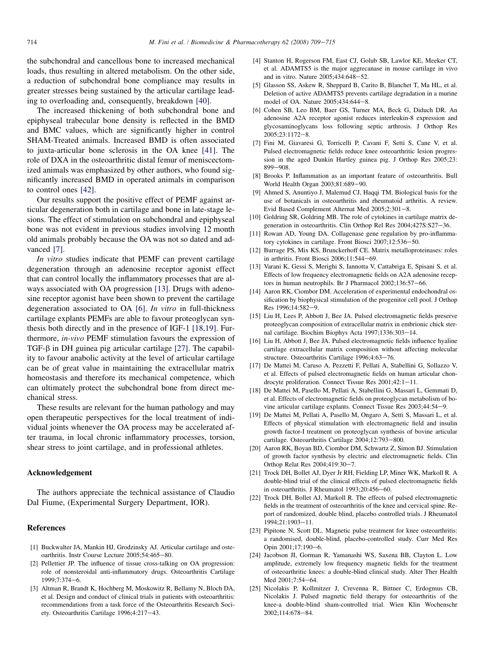<span id="page-5-0"></span>the subchondral and cancellous bone to increased mechanical loads, thus resulting in altered metabolism. On the other side, a reduction of subchondral bone compliance may results in greater stresses being sustained by the articular cartilage leading to overloading and, consequently, breakdown [\[40\]](#page-6-0).

The increased thickening of both subchondral bone and epiphyseal trabecular bone density is reflected in the BMD and BMC values, which are significantly higher in control SHAM-Treated animals. Increased BMD is often associated to juxta-articular bone sclerosis in the OA knee [\[41\].](#page-6-0) The role of DXA in the osteoarthritic distal femur of meniscectomized animals was emphasized by other authors, who found significantly increased BMD in operated animals in comparison to control ones [\[42\].](#page-6-0)

Our results support the positive effect of PEMF against articular degeneration both in cartilage and bone in late-stage lesions. The effect of stimulation on subchondral and epiphyseal bone was not evident in previous studies involving 12 month old animals probably because the OA was not so dated and advanced [7].

In vitro studies indicate that PEMF can prevent cartilage degeneration through an adenosine receptor agonist effect that can control locally the inflammatory processes that are always associated with OA progression [13]. Drugs with adenosine receptor agonist have been shown to prevent the cartilage degeneration associated to OA [6]. *In vitro* in full-thickness cartilage explants PEMFs are able to favour proteoglycan synthesis both directly and in the presence of IGF-1 [18,19]. Furthermore, in-vivo PEMF stimulation favours the expression of TGF- $\beta$  in DH guinea pig articular cartilage [\[27\]](#page-6-0). The capability to favour anabolic activity at the level of articular cartilage can be of great value in maintaining the extracellular matrix homeostasis and therefore its mechanical competence, which can ultimately protect the subchondral bone from direct mechanical stress.

These results are relevant for the human pathology and may open therapeutic perspectives for the local treatment of individual joints whenever the OA process may be accelerated after trauma, in local chronic inflammatory processes, torsion, shear stress to joint cartilage, and in professional athletes.

#### Acknowledgement

The authors appreciate the technical assistance of Claudio Dal Fiume, (Experimental Surgery Department, IOR).

### References

- [1] Buckwalter JA, Mankin HJ, Grodzinsky AJ. Articular cartilage and osteoarthritis. Instr Course Lecture 2005;54:465-80.
- [2] Pellettier JP. The influence of tissue cross-talking on OA progression: role of nonsteroidal anti-inflammatory drugs. Osteoarthritis Cartilage  $1999:7:374-6.$
- [3] Altman R, Brandt K, Hochberg M, Moskowitz R, Bellamy N, Bloch DA, et al. Design and conduct of clinical trials in patients with osteoarthritis: recommendations from a task force of the Osteoarthritis Research Society. Osteoarthritis Cartilage 1996;4:217-43.
- [4] Stanton H, Rogerson FM, East CJ, Golub SB, Lawlor KE, Meeker CT, et al. ADAMTS5 is the major aggrecanase in mouse cartilage in vivo and in vitro. Nature  $2005:434:648-52$ .
- [5] Glasson SS, Askew R, Sheppard B, Carito B, Blanchet T, Ma HL, et al. Deletion of active ADAMTS5 prevents cartilage degradation in a murine model of OA. Nature 2005;434:644-8.
- [6] Cohen SB, Leo BM, Baer GS, Turner MA, Beck G, Diduch DR. An adenosine A2A receptor agonist reduces interleukin-8 expression and glycosaminoglycans loss following septic arthrosis. J Orthop Res  $2005:23:1172-8.$
- [7] Fini M, Giavaresi G, Torricelli P, Cavani F, Setti S, Cane V, et al. Pulsed electromagnetic fields reduce knee osteoarthritic lesion progression in the aged Dunkin Hartley guinea pig. J Orthop Res 2005;23: 899-908.
- [8] Brooks P. Inflammation as an important feature of osteoarthritis. Bull World Health Organ 2003;81:689-90.
- [9] Ahmed S, Anuntiyo J, Malemud CJ, Haqqi TM. Biological basis for the use of botanicals in osteoarthritis and rheumatoid arthritis. A review. Evid Based Complement Alternat Med 2005;2:301-8.
- [10] Goldring SR, Goldring MB. The role of cytokines in cartilage matrix degeneration in osteoarthritis. Clin Orthop Rel Res 2004;427S:S27-36.
- [11] Rowan AD, Young DA. Collagenase gene regulation by pro-inflammatory cytokines in cartilage. Front Biosci 2007;12:536-50.
- [12] Burrage PS, Mix KS, Brunckerhoff CE. Matrix metalloproteinases: roles in arthritis. Front Biosci  $2006;11:544-69$ .
- [13] Varani K, Gessi S, Merighi S, Iannotta V, Cattabriga E, Spisani S, et al. Effects of low frequency electromagnetic fields on A2A adenosine receptors in human neutrophils. Br J Pharmacol 2002;136:57-66.
- [14] Aaron RK, Ciombor DM. Acceleration of experimental endochondral ossification by biophysical stimulation of the progenitor cell pool. J Orthop Res 1996;14:582-9.
- [15] Liu H, Lees P, Abbott J, Bee JA. Pulsed electromagnetic fields preserve proteoglycan composition of extracellular matrix in embrionic chick sternal cartilage. Biochim Biophys Acta 1997;1336:303-14.
- [16] Liu H, Abbott J, Bee JA. Pulsed electromagnetic fields influence hyaline cartilage extracellular matrix composition without affecting molecular structure. Osteoarthritis Cartilage 1996;4:63-76.
- [17] De Mattei M, Caruso A, Pezzetti F, Pellati A, Stabellini G, Sollazzo V, et al. Effects of pulsed electromagnetic fields on human articular chondrocyte proliferation. Connect Tissue Res 2001;42:1-11.
- [18] De Mattei M, Pasello M, Pellati A, Stabellini G, Massari L, Gemmati D, et al. Effects of electromagnetic fields on proteoglycan metabolism of bovine articular cartilage explants. Connect Tissue Res 2003;44:54-9.
- [19] De Mattei M, Pellati A, Pasello M, Ongaro A, Setti S, Massari L, et al. Effects of physical stimulation with electromagnetic field and insulin growth factor-I treatment on proteoglycan synthesis of bovine articular cartilage. Osteoarthritis Cartilage 2004;12:793-800.
- [20] Aaron RK, Boyan BD, Ciombor DM, Schwartz Z, Simon BJ. Stimulation of growth factor synthesis by electric and electromagnetic fields. Clin Orthop Relat Res 2004;419:30-7.
- [21] Trock DH, Bollet AJ, Dyer Jr RH, Fielding LP, Miner WK, Markoll R. A double-blind trial of the clinical effects of pulsed electromagnetic fields in osteoarthritis. J Rheumatol 1993;20:456-60.
- [22] Trock DH, Bollet AJ, Markoll R. The effects of pulsed electromagnetic fields in the treatment of osteoarthritis of the knee and cervical spine. Report of randomized, double blind, placebo controlled trials. J Rheumatol 1994;21:1903-11.
- [23] Pipitone N, Scott DL. Magnetic pulse treatment for knee osteoarthritis: a randomised, double-blind, placebo-controlled study. Curr Med Res Opin 2001;17:190-6.
- [24] Jacobson JI, Gorman R, Yamanashi WS, Saxena BB, Clayton L. Low amplitude, extremely low frequency magnetic fields for the treatment of osteoarthritic knees: a double-blind clinical study. Alter Ther Health Med 2001;7:54-64.
- [25] Nicolakis P, Kollmitzer J, Crevenna R, Bittner C, Erdogmus CB, Nicolakis J. Pulsed magnetic field therapy for osteoarthritis of the knee-a double-blind sham-controlled trial. Wien Klin Wochenschr 2002;114:678-84.